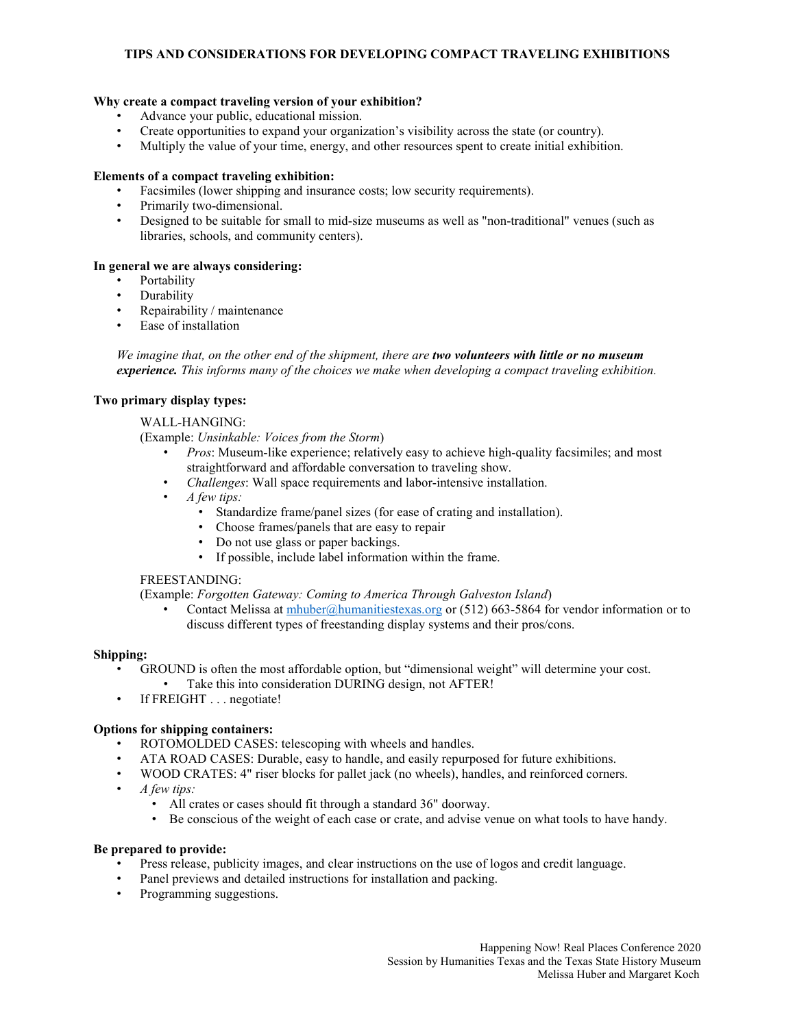# **TIPS AND CONSIDERATIONS FOR DEVELOPING COMPACT TRAVELING EXHIBITIONS**

## **Why create a compact traveling version of your exhibition?**

- Advance your public, educational mission.
- Create opportunities to expand your organization's visibility across the state (or country).<br>• Multiply the value of your time, energy and other resources spent to create initial exhibiti
- Multiply the value of your time, energy, and other resources spent to create initial exhibition.

### **Elements of a compact traveling exhibition:**

- Facsimiles (lower shipping and insurance costs; low security requirements).
- Primarily two-dimensional.
- Designed to be suitable for small to mid-size museums as well as "non-traditional" venues (such as libraries, schools, and community centers).

### **In general we are always considering:**

- **Portability**
- Durability
- Repairability / maintenance
- Ease of installation

*We imagine that, on the other end of the shipment, there are two volunteers with little or no museum experience. This informs many of the choices we make when developing a compact traveling exhibition.*

#### **Two primary display types:**

## WALL-HANGING:

(Example: *Unsinkable: Voices from the Storm*)

- *Pros*: Museum-like experience; relatively easy to achieve high-quality facsimiles; and most straightforward and affordable conversation to traveling show.
- *Challenges*: Wall space requirements and labor-intensive installation.
- *A few tips:*
	- Standardize frame/panel sizes (for ease of crating and installation).
	- Choose frames/panels that are easy to repair
	- Do not use glass or paper backings.
	- If possible, include label information within the frame.

## FREESTANDING:

(Example: *Forgotten Gateway: Coming to America Through Galveston Island*)

Contact Melissa at [mhuber@humanitiestexas.org](mailto:mhuber@humanitiestexas.org) or  $(512)$  663-5864 for vendor information or to discuss different types of freestanding display systems and their pros/cons.

## **Shipping:**

- GROUND is often the most affordable option, but "dimensional weight" will determine your cost. Take this into consideration DURING design, not AFTER!
- If FREIGHT . . . negotiate!

## **Options for shipping containers:**

- ROTOMOLDED CASES: telescoping with wheels and handles.
- ATA ROAD CASES: Durable, easy to handle, and easily repurposed for future exhibitions.
- WOOD CRATES: 4" riser blocks for pallet jack (no wheels), handles, and reinforced corners.
- *A few tips:*
	- All crates or cases should fit through a standard 36" doorway.
	- Be conscious of the weight of each case or crate, and advise venue on what tools to have handy.

## **Be prepared to provide:**

- Press release, publicity images, and clear instructions on the use of logos and credit language.
- Panel previews and detailed instructions for installation and packing.
- Programming suggestions.